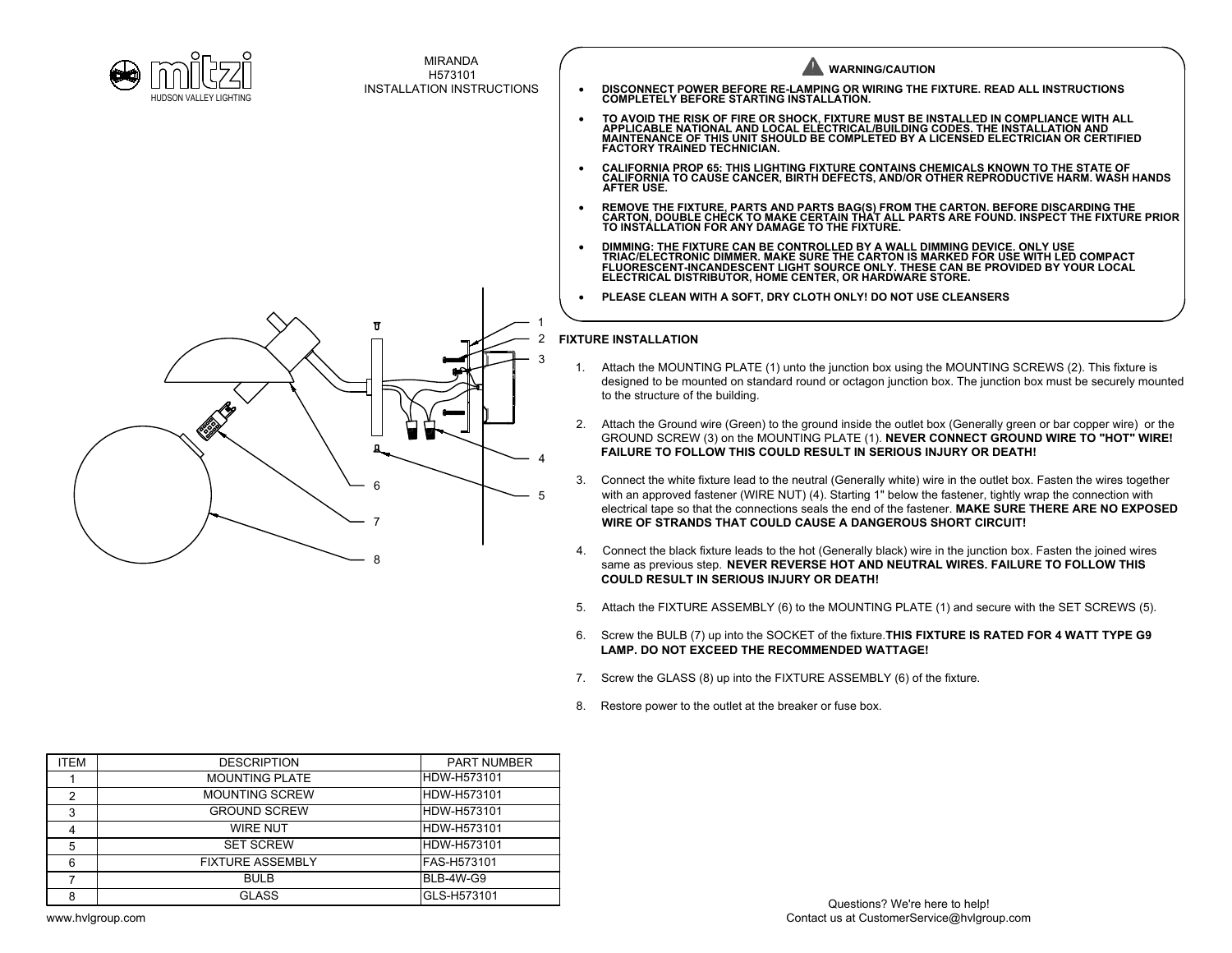



MIRANDA H573101 INSTALLATION INSTRUCTIONS

**WARNING/CAUTION** · **DISCONNECT POWER BEFORE RE-LAMPING OR WIRING THE FIXTURE. READ ALL INSTRUCTIONS COMPLETELY BEFORE STARTING INSTALLATION.** • TO AVOID THE RISK OF FIRE OR SHOCK, FIXTURE MUST BE INSTALLED IN COMPLIANCE WITH ALL<br> APPLICABLE NATIONAL AND LOCAL ELECTRICAL/BUILDING CODES. THE INSTALLATION AND<br> MAINTENANCE OF THIS UNIT SHOULD BE C **FACTORY TRAINED TECHNICIAN.**

- · **CALIFORNIA PROP 65: THIS LIGHTING FIXTURE CONTAINS CHEMICALS KNOWN TO THE STATE OF CALIFORNIA TO CAUSE CANCER, BIRTH DEFECTS, AND/OR OTHER REPRODUCTIVE HARM. WASH HANDS AFTER USE.**
- REMOVE THE FIXTURE, PARTS AND PARTS BAG(S) FROM THE CARTON. BEFORE DISCARDING THE<br> CARTON, DOUBLE CHECK TO MAKE CERTAIN THAT ALL PARTS ARE FOUND. INSPECT THE FIXTURE PRIOR<br> TO INSTALLATION FOR ANY DAMAGE TO THE F
- · **DIMMING: THE FIXTURE CAN BE CONTROLLED BY A WALL DIMMING DEVICE. ONLY USE TRIAC/ELECTRONIC DIMMER. MAKE SURE THE CARTON IS MARKED FOR USE WITH LED COMPACT FLUORESCENT-INCANDESCENT LIGHT SOURCE ONLY. THESE CAN BE PROVIDED BY YOUR LOCAL ELECTRICAL DISTRIBUTOR, HOME CENTER, OR HARDWARE STORE.**
- · **PLEASE CLEAN WITH A SOFT, DRY CLOTH ONLY! DO NOT USE CLEANSERS**

## **FIXTURE INSTALLATION** 2

- $^3$  1. Attach the MOUNTING PLATE (1) unto the junction box using the MOUNTING SCREWS (2). This fixture is designed to be mounted on standard round or octagon junction box. The junction box must be securely mounted to the structure of the building.
	- 2. Attach the Ground wire (Green) to the ground inside the outlet box (Generally green or bar copper wire) or the GROUND SCREW (3) on the MOUNTING PLATE (1). **NEVER CONNECT GROUND WIRE TO "HOT" WIRE! FAILURE TO FOLLOW THIS COULD RESULT IN SERIOUS INJURY OR DEATH!**
- 3. Connect the white fixture lead to the neutral (Generally white) wire in the outlet box. Fasten the wires together with an approved fastener (WIRE NUT) (4). Starting 1" below the fastener, tightly wrap the connection with 5 electrical tape so that the connections seals the end of the fastener. **MAKE SURE THERE ARE NO EXPOSED WIRE OF STRANDS THAT COULD CAUSE A DANGEROUS SHORT CIRCUIT!**
	- 4. Connect the black fixture leads to the hot (Generally black) wire in the junction box. Fasten the joined wires same as previous step. **NEVER REVERSE HOT AND NEUTRAL WIRES. FAILURE TO FOLLOW THIS COULD RESULT IN SERIOUS INJURY OR DEATH!**
	- 5. Attach the FIXTURE ASSEMBLY (6) to the MOUNTING PLATE (1) and secure with the SET SCREWS (5).
	- 6. Screw the BULB (7) up into the SOCKET of the fixture.**THIS FIXTURE IS RATED FOR 4 WATT TYPE G9 LAMP. DO NOT EXCEED THE RECOMMENDED WATTAGE!**
	- 7. Screw the GLASS (8) up into the FIXTURE ASSEMBLY (6) of the fixture.
	- 8. Restore power to the outlet at the breaker or fuse box.

| ITEM | <b>DESCRIPTION</b>      | <b>PART NUMBER</b> |
|------|-------------------------|--------------------|
|      | <b>MOUNTING PLATE</b>   | IHDW-H573101       |
| 2    | <b>MOUNTING SCREW</b>   | IHDW-H573101       |
| 3    | <b>GROUND SCREW</b>     | <b>HDW-H573101</b> |
| 4    | <b>WIRE NUT</b>         | IHDW-H573101       |
| 5    | <b>SET SCREW</b>        | IHDW-H573101       |
| 6    | <b>FIXTURE ASSEMBLY</b> | IFAS-H573101       |
|      | <b>BULB</b>             | IBLB-4W-G9         |
| 8    | <b>GLASS</b>            | GLS-H573101        |
|      |                         |                    |